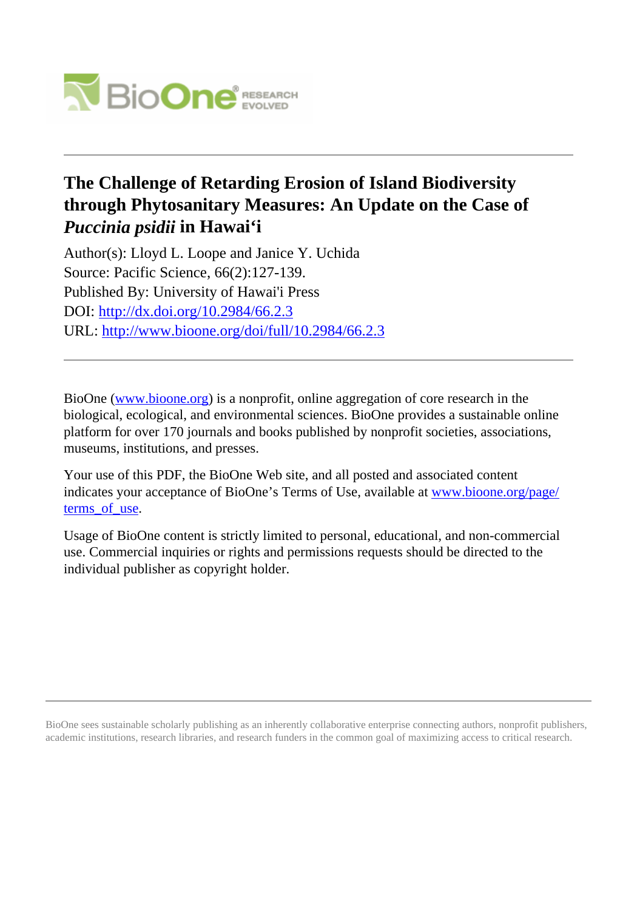

# **The Challenge of Retarding Erosion of Island Biodiversity through Phytosanitary Measures: An Update on the Case of** *Puccinia psidii* **in Hawai'i**

Author(s): Lloyd L. Loope and Janice Y. Uchida Source: Pacific Science, 66(2):127-139. Published By: University of Hawai'i Press DOI:<http://dx.doi.org/10.2984/66.2.3> URL: <http://www.bioone.org/doi/full/10.2984/66.2.3>

BioOne [\(www.bioone.org\)](http://www.bioone.org) is a nonprofit, online aggregation of core research in the biological, ecological, and environmental sciences. BioOne provides a sustainable online platform for over 170 journals and books published by nonprofit societies, associations, museums, institutions, and presses.

Your use of this PDF, the BioOne Web site, and all posted and associated content indicates your acceptance of BioOne's Terms of Use, available at [www.bioone.org/page/](http://www.bioone.org/page/terms_of_use) terms of use.

Usage of BioOne content is strictly limited to personal, educational, and non-commercial use. Commercial inquiries or rights and permissions requests should be directed to the individual publisher as copyright holder.

BioOne sees sustainable scholarly publishing as an inherently collaborative enterprise connecting authors, nonprofit publishers, academic institutions, research libraries, and research funders in the common goal of maximizing access to critical research.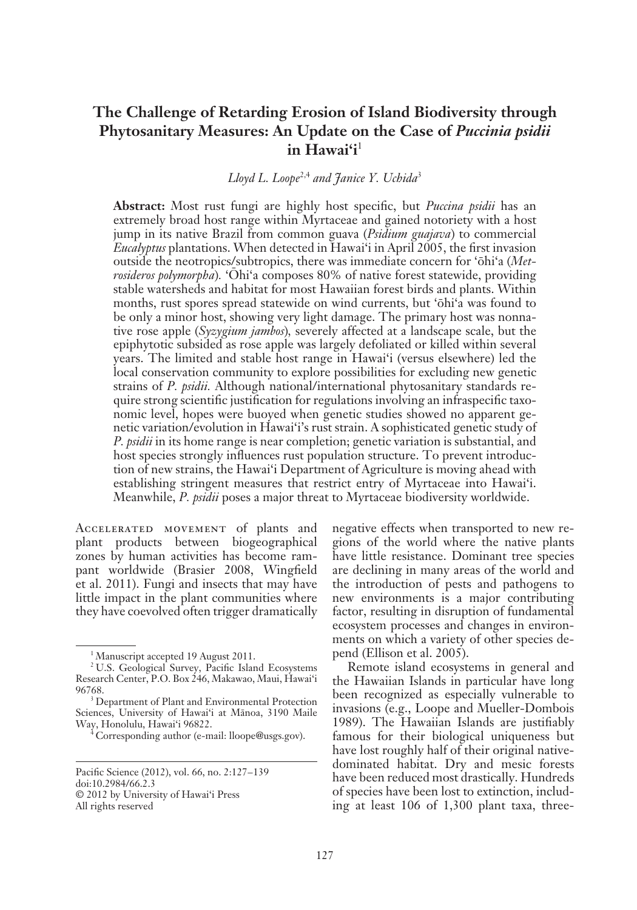## **The Challenge of Retarding Erosion of Island Biodiversity through**  Phytosanitary Measures: An Update on the Case of *Puccinia psidii* **in Hawai'i**<sup>1</sup>

### *Lloyd L. Loope*2,4 *and Janice Y. Uchida*<sup>3</sup>

**Abstract:** Most rust fungi are highly host specific, but *Puccina psidii* has an extremely broad host range within Myrtaceae and gained notoriety with a host jump in its native Brazil from common guava (*Psidium guajava*) to commercial *Eucalyptus* plantations. When detected in Hawai'i in April 2005, the first invasion outside the neotropics/subtropics, there was immediate concern for 'öhi'a (*Metrosideros polymorpha*). 'Ohi'a composes 80% of native forest statewide, providing stable watersheds and habitat for most Hawaiian forest birds and plants. Within months, rust spores spread statewide on wind currents, but 'öhi'a was found to be only a minor host, showing very light damage. The primary host was nonnative rose apple (*Syzygium jambos*)*,* severely affected at a landscape scale, but the epiphytotic subsided as rose apple was largely defoliated or killed within several years. The limited and stable host range in Hawai'i (versus elsewhere) led the local conservation community to explore possibilities for excluding new genetic strains of *P. psidii.* Although national/international phytosanitary standards require strong scientific justification for regulations involving an infraspecific taxonomic level, hopes were buoyed when genetic studies showed no apparent genetic variation/evolution in Hawai'i's rust strain. A sophisticated genetic study of *P. psidii* in its home range is near completion; genetic variation is substantial, and host species strongly influences rust population structure. To prevent introduction of new strains, the Hawai'i Department of Agriculture is moving ahead with establishing stringent measures that restrict entry of Myrtaceae into Hawai'i. Meanwhile, *P. psidii* poses a major threat to Myrtaceae biodiversity worldwide.

Accelerated movement of plants and plant products between biogeographical zones by human activities has become rampant worldwide (Brasier 2008, Wingfield et al. 2011). Fungi and insects that may have little impact in the plant communities where they have coevolved often trigger dramatically negative effects when transported to new regions of the world where the native plants have little resistance. Dominant tree species are declining in many areas of the world and the introduction of pests and pathogens to new environments is a major contributing factor, resulting in disruption of fundamental ecosystem processes and changes in environments on which a variety of other species depend (Ellison et al. 2005).

Remote island ecosystems in general and the Hawaiian Islands in particular have long been recognized as especially vulnerable to invasions (e.g., Loope and Mueller-Dombois 1989). The Hawaiian Islands are justifiably famous for their biological uniqueness but have lost roughly half of their original nativedominated habitat. Dry and mesic forests have been reduced most drastically. Hundreds of species have been lost to extinction, including at least 106 of 1,300 plant taxa, three-

<sup>&</sup>lt;sup>1</sup>Manuscript accepted 19 August 2011.

<sup>2</sup> U.S. Geological Survey, Pacific Island Ecosystems Research Center, P.O. Box 246, Makawao, Maui, Hawai'i 96768.

<sup>&</sup>lt;sup>3</sup> Department of Plant and Environmental Protection Sciences, University of Hawai'i at Mänoa, 3190 Maile Way, Honolulu, Hawai'i 96822.

<sup>4</sup> Corresponding author (e-mail: lloope@usgs.gov).

Pacific Science (2012), vol. 66, no. 2:127-139 doi:10.2984/66.2.3 © 2012 by University of Hawai'i Press All rights reserved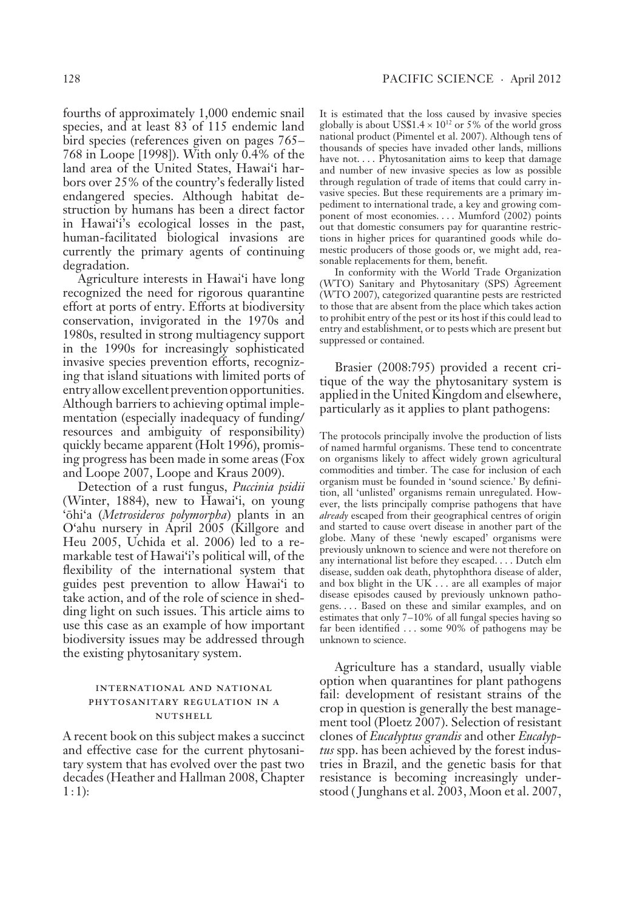fourths of approximately 1,000 endemic snail species, and at least 83 of 115 endemic land bird species (references given on pages 765– 768 in Loope [1998]). With only 0.4% of the land area of the United States, Hawai'i harbors over 25% of the country's federally listed endangered species. Although habitat destruction by humans has been a direct factor in Hawai'i's ecological losses in the past, human-facilitated biological invasions are currently the primary agents of continuing degradation.

Agriculture interests in Hawai'i have long recognized the need for rigorous quarantine effort at ports of entry. Efforts at biodiversity conservation, invigorated in the 1970s and 1980s, resulted in strong multiagency support in the 1990s for increasingly sophisticated invasive species prevention efforts, recognizing that island situations with limited ports of entry allow excellent prevention opportunities. Although barriers to achieving optimal implementation (especially inadequacy of funding/ resources and ambiguity of responsibility) quickly became apparent (Holt 1996), promising progress has been made in some areas (Fox and Loope 2007, Loope and Kraus 2009).

Detection of a rust fungus, *Puccinia psidii* ( Winter, 1884), new to Hawai'i, on young 'öhi'a (*Metrosideros polymorpha*) plants in an O'ahu nursery in April 2005 (Killgore and Heu 2005, Uchida et al. 2006) led to a remarkable test of Hawai'i's political will, of the flexibility of the international system that guides pest prevention to allow Hawai'i to take action, and of the role of science in shedding light on such issues. This article aims to use this case as an example of how important biodiversity issues may be addressed through the existing phytosanitary system.

#### international and national phytosanitary regulation in a nutshell

A recent book on this subject makes a succinct and effective case for the current phytosanitary system that has evolved over the past two decades (Heather and Hallman 2008, Chapter  $1:1$ :

It is estimated that the loss caused by invasive species globally is about US\$1.4  $\times$  10<sup>12</sup> or 5% of the world gross national product (Pimentel et al. 2007). Although tens of thousands of species have invaded other lands, millions have not.... Phytosanitation aims to keep that damage and number of new invasive species as low as possible through regulation of trade of items that could carry invasive species. But these requirements are a primary impediment to international trade, a key and growing component of most economies.... Mumford (2002) points out that domestic consumers pay for quarantine restrictions in higher prices for quarantined goods while domestic producers of those goods or, we might add, reasonable replacements for them, benefit.

In conformity with the World Trade Organization ( WTO) Sanitary and Phytosanitary (SPS) Agreement ( WTO 2007), categorized quarantine pests are restricted to those that are absent from the place which takes action to prohibit entry of the pest or its host if this could lead to entry and establishment, or to pests which are present but suppressed or contained.

Brasier (2008:795) provided a recent critique of the way the phytosanitary system is applied in the United Kingdom and elsewhere, particularly as it applies to plant pathogens:

The protocols principally involve the production of lists of named harmful organisms. These tend to concentrate on organisms likely to affect widely grown agricultural commodities and timber. The case for inclusion of each organism must be founded in 'sound science.' By definition, all 'unlisted' organisms remain unregulated. However, the lists principally comprise pathogens that have *already* escaped from their geographical centres of origin and started to cause overt disease in another part of the globe. Many of these 'newly escaped' organisms were previously unknown to science and were not therefore on any international list before they escaped. . . . Dutch elm disease, sudden oak death, phytophthora disease of alder, and box blight in the UK . . . are all examples of major disease episodes caused by previously unknown pathogens. . . . Based on these and similar examples, and on estimates that only 7-10% of all fungal species having so far been identified . . . some 90% of pathogens may be unknown to science.

Agriculture has a standard, usually viable option when quarantines for plant pathogens fail: development of resistant strains of the crop in question is generally the best management tool (Ploetz 2007). Selection of resistant clones of *Eucalyptus grandis* and other *Eucalyptus* spp. has been achieved by the forest industries in Brazil, and the genetic basis for that resistance is becoming increasingly understood ( Junghans et al. 2003, Moon et al. 2007,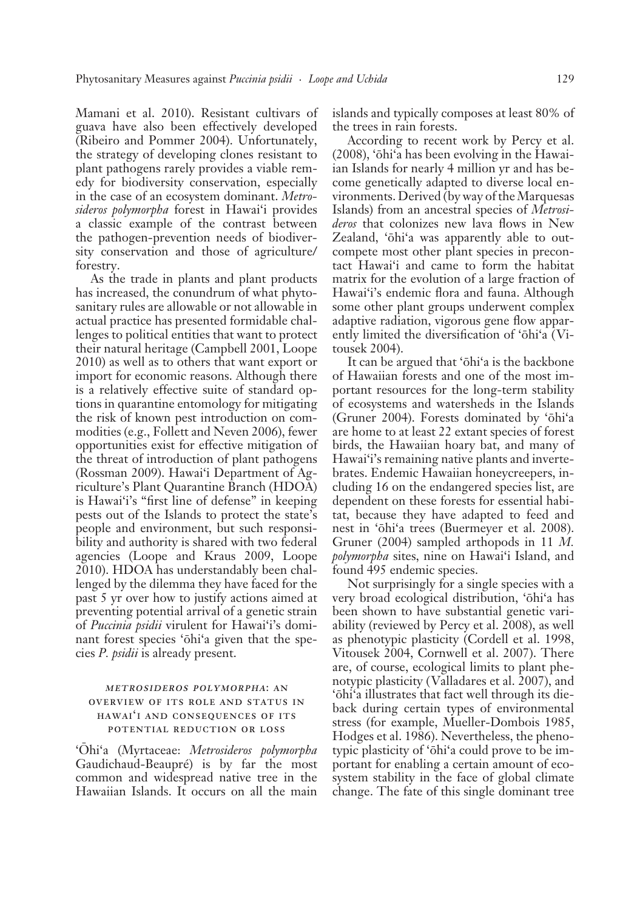Mamani et al. 2010). Resistant cultivars of guava have also been effectively developed (Ribeiro and Pommer 2004). Unfortunately, the strategy of developing clones resistant to plant pathogens rarely provides a viable remedy for biodiversity conservation, especially in the case of an ecosystem dominant. *Metrosideros polymorpha* forest in Hawai'i provides a classic example of the contrast between the pathogen-prevention needs of biodiversity conservation and those of agriculture/ forestry.

As the trade in plants and plant products has increased, the conundrum of what phytosanitary rules are allowable or not allowable in actual practice has presented formidable challenges to political entities that want to protect their natural heritage (Campbell 2001, Loope 2010) as well as to others that want export or import for economic reasons. Although there is a relatively effective suite of standard options in quarantine entomology for mitigating the risk of known pest introduction on commodities (e.g., Follett and Neven 2006), fewer opportunities exist for effective mitigation of the threat of introduction of plant pathogens (Rossman 2009). Hawai'i Department of Agriculture's Plant Quarantine Branch (HDOA) is Hawai'i's "first line of defense" in keeping pests out of the Islands to protect the state's people and environment, but such responsibility and authority is shared with two federal agencies (Loope and Kraus 2009, Loope 2010). HDOA has understandably been challenged by the dilemma they have faced for the past 5 yr over how to justify actions aimed at preventing potential arrival of a genetic strain of *Puccinia psidii* virulent for Hawai'i's dominant forest species 'öhi'a given that the species *P. psidii* is already present.

#### metrosideros polymorpha: an overview of its role and status in hawai'i and consequences of its potential reduction or loss

'Öhi'a (Myrtaceae: *Metrosideros polymorpha* Gaudichaud-Beaupré) is by far the most common and widespread native tree in the Hawaiian Islands. It occurs on all the main

islands and typically composes at least 80% of the trees in rain forests.

According to recent work by Percy et al. (2008), 'öhi'a has been evolving in the Hawaiian Islands for nearly 4 million yr and has become genetically adapted to diverse local environments. Derived ( by way of the Marquesas Islands) from an ancestral species of *Metrosideros* that colonizes new lava flows in New Zealand, 'öhi'a was apparently able to outcompete most other plant species in precontact Hawai'i and came to form the habitat matrix for the evolution of a large fraction of Hawai'i's endemic flora and fauna. Although some other plant groups underwent complex adaptive radiation, vigorous gene flow apparently limited the diversification of 'öhi'a ( Vitousek 2004).

It can be argued that 'öhi'a is the backbone of Hawaiian forests and one of the most important resources for the long-term stability of ecosystems and watersheds in the Islands (Gruner 2004). Forests dominated by 'öhi'a are home to at least 22 extant species of forest birds, the Hawaiian hoary bat, and many of Hawai'i's remaining native plants and invertebrates. Endemic Hawaiian honeycreepers, including 16 on the endangered species list, are dependent on these forests for essential habitat, because they have adapted to feed and nest in 'öhi'a trees (Buermeyer et al. 2008). Gruner (2004) sampled arthopods in 11 *M. polymorpha* sites, nine on Hawai'i Island, and found 495 endemic species.

Not surprisingly for a single species with a very broad ecological distribution, 'öhi'a has been shown to have substantial genetic variability (reviewed by Percy et al. 2008), as well as phenotypic plasticity (Cordell et al. 1998, Vitousek 2004, Cornwell et al. 2007). There are, of course, ecological limits to plant phenotypic plasticity ( Valladares et al. 2007), and 'öhi'a illustrates that fact well through its dieback during certain types of environmental stress (for example, Mueller-Dombois 1985, Hodges et al. 1986). Nevertheless, the phenotypic plasticity of 'öhi'a could prove to be important for enabling a certain amount of ecosystem stability in the face of global climate change. The fate of this single dominant tree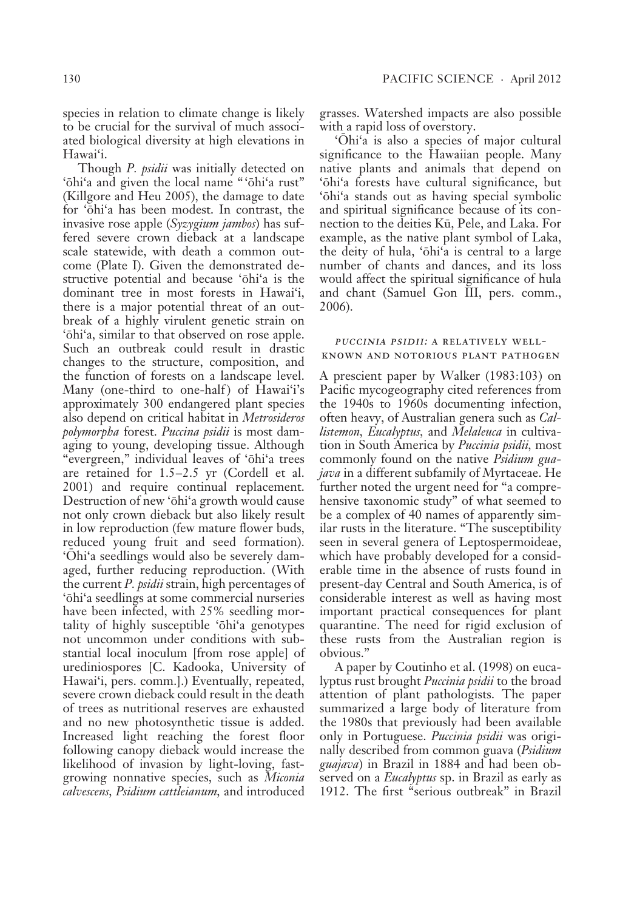species in relation to climate change is likely to be crucial for the survival of much associated biological diversity at high elevations in Hawai'i.

Though *P. psidii* was initially detected on 'öhi'a and given the local name " 'öhi'a rust" (Killgore and Heu 2005), the damage to date for 'öhi'a has been modest. In contrast, the invasive rose apple (*Syzygium jambos*) has suffered severe crown dieback at a landscape scale statewide, with death a common outcome (Plate I). Given the demonstrated destructive potential and because 'öhi'a is the dominant tree in most forests in Hawai'i, there is a major potential threat of an outbreak of a highly virulent genetic strain on 'öhi'a, similar to that observed on rose apple. Such an outbreak could result in drastic changes to the structure, composition, and the function of forests on a landscape level. Many (one-third to one-half) of Hawai'i's a pproximately 300 endangered plant species also depend on critical habitat in *Metrosideros polymorpha* forest. *Puccina psidii* is most damaging to young, developing tissue. Although "evergreen," individual leaves of 'öhi'a trees are retained for  $1.5-2.5$  yr (Cordell et al. 2001) and require continual replacement. Destruction of new 'öhi'a growth would cause not only crown dieback but also likely result in low reproduction (few mature flower buds, reduced young fruit and seed formation). 'Öhi'a seedlings would also be severely damaged, further reducing reproduction. (With the current *P. psidii* strain, high percentages of 'öhi'a seedlings at some commercial nurseries have been infected, with 25% seedling mortality of highly susceptible 'öhi'a genotypes not uncommon under conditions with substantial local inoculum [from rose apple] of urediniospores [C. Kadooka, University of Hawai'i, pers. comm.].) Eventually, repeated, severe crown dieback could result in the death of trees as nutritional reserves are exhausted and no new photosynthetic tissue is added. Increased light reaching the forest floor following canopy dieback would increase the likelihood of invasion by light-loving, fastgrowing nonnative species, such as *Miconia calvescens, Psidium cattleianum,* and introduced

grasses. Watershed impacts are also possible with a rapid loss of overstory.

'Öhi'a is also a species of major cultural significance to the Hawaiian people. Many native plants and animals that depend on 'öhi'a forests have cultural significance, but 'öhi'a stands out as having special symbolic and spiritual significance because of its connection to the deities Kü, Pele, and Laka. For example, as the native plant symbol of Laka, the deity of hula, 'öhi'a is central to a large number of chants and dances, and its loss would affect the spiritual significance of hula and chant (Samuel Gon III, pers. comm., 2006).

#### puccinia psidii: a relatively wellknown and notorious plant pathogen

A prescient paper by Walker (1983:103) on Pacific mycogeography cited references from the 1940s to 1960s documenting infection, often heavy, of Australian genera such as *Callistemon, Eucalyptus,* and *Melaleuca* in cultivation in South America by *Puccinia psidii,* most commonly found on the native *Psidium guajava* in a different subfamily of Myrtaceae. He further noted the urgent need for "a comprehensive taxonomic study" of what seemed to be a complex of 40 names of apparently similar rusts in the literature. "The susceptibility seen in several genera of Leptospermoideae, which have probably developed for a considerable time in the absence of rusts found in present-day Central and South America, is of considerable interest as well as having most important practical consequences for plant quarantine. The need for rigid exclusion of these rusts from the Australian region is o bvious."

A paper by Coutinho et al. (1998) on eucalyptus rust brought *Puccinia psidii* to the broad attention of plant pathologists. The paper summarized a large body of literature from the 1980s that previously had been available only in Portuguese. *Puccinia psidii* was originally described from common guava (*Psidium guajava*) in Brazil in 1884 and had been observed on a *Eucalyptus* sp. in Brazil as early as 1912. The first "serious outbreak" in Brazil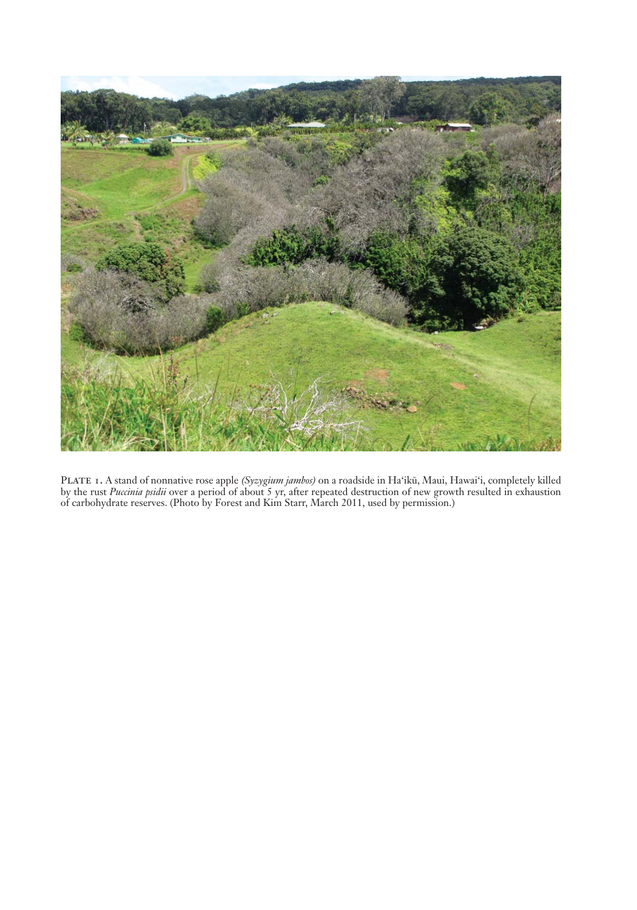

Plate 1. A stand of nonnative rose apple *(Syzygium jambos)* on a roadside in Ha'iką, Maui, Hawai'i, completely killed by the rust *Puccinia psidii* over a period of about 5 yr, after repeated destruction of new growth resulted in exhaustion of carbohydrate reserves. (Photo by Forest and Kim Starr, March 2011, used by permission.)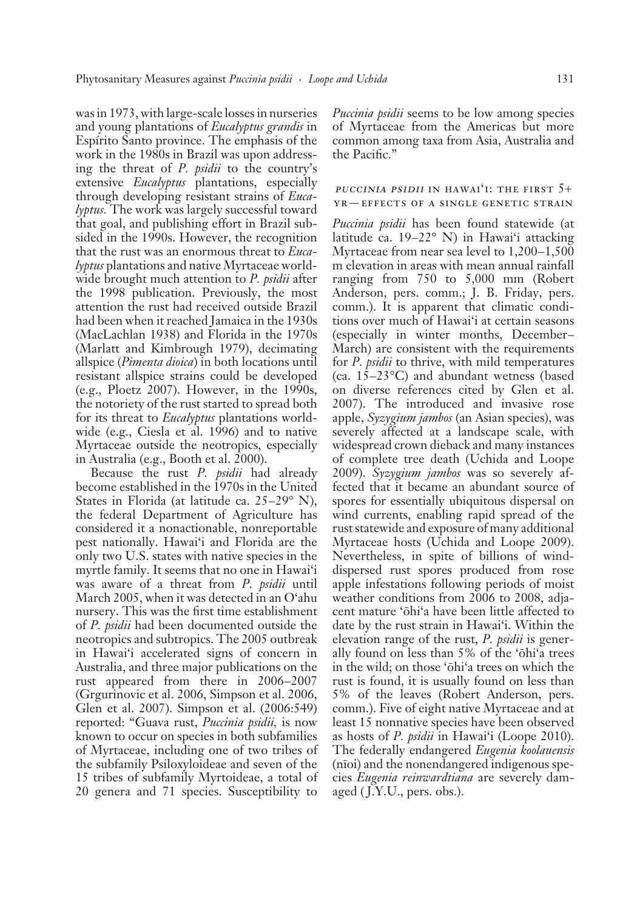was in 1973, with large-scale losses in nurseries and young plantations of *Eucalyptus grandis* in Espírito Santo province. The emphasis of the work in the 1980s in Brazil was upon addressing the threat of *P. psidii* to the country's e xtensive *Eucalyptus* plantations, especially through developing resistant strains of *Eucalyptus.* The work was largely successful toward that goal, and publishing effort in Brazil subsided in the 1990s. However, the recognition that the rust was an enormous threat to *Eucalyptus* plantations and native Myrtaceae worldwide brought much attention to *P. psidii* after the 1998 publication. Previously, the most attention the rust had received outside Brazil had been when it reached Jamaica in the 1930s (MacLachlan 1938) and Florida in the 1970s (Marlatt and Kimbrough 1979), decimating allspice (*Pimenta dioica*) in both locations until resistant allspice strains could be developed (e.g., Ploetz 2007). However, in the 1990s, the notoriety of the rust started to spread both for its threat to *Eucalyptus* plantations worldwide (e.g., Ciesla et al. 1996) and to native Myrtaceae outside the neotropics, especially in Australia (e.g., Booth et al. 2000).

Because the rust *P. psidii* had already b ecome established in the 1970s in the United States in Florida (at latitude ca.  $25-29^\circ$  N), the federal Department of Agriculture has considered it a nonactionable, nonreportable pest nationally. Hawai'i and Florida are the only two U.S. states with native species in the myrtle family. It seems that no one in Hawai'i was aware of a threat from *P. psidii* until March 2005, when it was detected in an O'ahu nursery. This was the first time establishment of *P. psidii* had been documented outside the neotropics and subtropics. The 2005 outbreak in Hawai'i accelerated signs of concern in Australia, and three major publications on the rust appeared from there in 2006–2007 (Grgurinovic et al. 2006, Simpson et al. 2006, Glen et al. 2007). Simpson et al. (2006:549) reported: "Guava rust, *Puccinia psidii,* is now known to occur on species in both subfamilies of Myrtaceae, including one of two tribes of the subfamily Psiloxyloideae and seven of the 15 tribes of subfamily Myrtoideae, a total of 20 genera and 71 species. Susceptibility to

*Puccinia psidii* seems to be low among species of Myrtaceae from the Americas but more common among taxa from Asia, Australia and the Pacific."

#### **PUCCINIA PSIDII IN HAWAI'I: THE FIRST**  $5+$ yr—effects of a single genetic strain

*Puccinia psidii* has been found statewide (at latitude ca.  $19-22^{\circ}$  N) in Hawai'i attacking Myrtaceae from near sea level to  $1,200-1,500$ m elevation in areas with mean annual rainfall ranging from 750 to 5,000 mm (Robert Anderson, pers. comm.; J. B. Friday, pers. comm.). It is apparent that climatic conditions over much of Hawai'i at certain seasons (especially in winter months, December – March) are consistent with the requirements for *P. psidii* to thrive, with mild temperatures (ca.  $15-23$ °C) and abundant wetness (based on diverse references cited by Glen et al. 2007). The introduced and invasive rose a pple, *Syzygium jambos* (an Asian species), was severely affected at a landscape scale, with widespread crown dieback and many instances of complete tree death (Uchida and Loope 2009). *Syzygium jambos* was so severely affected that it became an abundant source of spores for essentially ubiquitous dispersal on wind currents, enabling rapid spread of the rust statewide and exposure of many a dditional Myrtaceae hosts (Uchida and Loope 2009). Nevertheless, in spite of billions of winddispersed rust spores produced from rose a pple infestations following periods of moist weather conditions from 2006 to 2008, adjacent mature 'öhi'a have been little affected to date by the rust strain in Hawai'i. Within the elevation range of the rust, *P. psidii* is generally found on less than 5% of the 'öhi'a trees in the wild; on those 'öhi'a trees on which the rust is found, it is usually found on less than 5% of the leaves (Robert Anderson, pers. comm.). Five of eight native Myrtaceae and at least 15 nonnative species have been observed as hosts of *P. psidii* in Hawai'i (Loope 2010). The federally endangered *Eugenia koolauensis*  (nïoi) and the nonendangered indigenous species *Eugenia reinwardtiana* are severely damaged (J.Y.U., pers. obs.).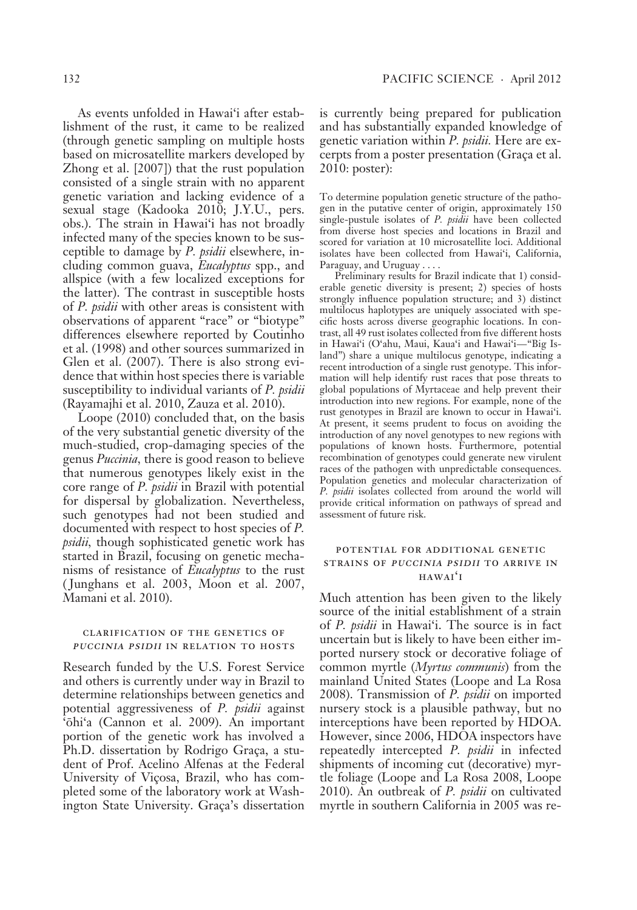As events unfolded in Hawai'i after establishment of the rust, it came to be realized (through genetic sampling on multiple hosts based on microsatellite markers developed by Zhong et al. [2007]) that the rust population consisted of a single strain with no apparent genetic variation and lacking evidence of a sexual stage (Kadooka 2010; J.Y.U., pers. obs.). The strain in Hawai'i has not broadly infected many of the species known to be susceptible to damage by *P. psidii* elsewhere, including common guava, *Eucalyptus* spp., and allspice (with a few localized exceptions for the latter). The contrast in susceptible hosts of *P. psidii* with other areas is consistent with observations of apparent "race" or "biotype" differences elsewhere reported by Coutinho et al. (1998) and other sources summarized in Glen et al. (2007). There is also strong evidence that within host species there is variable susceptibility to individual variants of *P. psidii* (Rayamajhi et al. 2010, Zauza et al. 2010).

Loope (2010) concluded that, on the basis of the very substantial genetic diversity of the much-studied, crop-damaging species of the genus *Puccinia,* there is good reason to believe that numerous genotypes likely exist in the core range of *P. psidii* in Brazil with potential for dispersal by globalization. Nevertheless, such genotypes had not been studied and documented with respect to host species of *P*. *psidii,* though sophisticated genetic work has started in Brazil, focusing on genetic mechanisms of resistance of *Eucalyptus* to the rust ( Junghans et al. 2003, Moon et al. 2007, Mamani et al. 2010).

#### clarification of the genetics of puccinia psidii in relation to hosts

Research funded by the U.S. Forest Service and others is currently under way in Brazil to determine relationships between genetics and potential aggressiveness of *P. psidii* against 'öhi'a (Cannon et al. 2009). An important portion of the genetic work has involved a Ph.D. dissertation by Rodrigo Graça, a student of Prof. Acelino Alfenas at the Federal University of Viçosa, Brazil, who has completed some of the laboratory work at Washington State University. Graça's dissertation

is currently being prepared for publication and has substantially expanded knowledge of genetic variation within *P. psidii.* Here are excerpts from a poster presentation (Graça et al. 2010: poster):

To determine population genetic structure of the pathogen in the putative center of origin, approximately 150 single-pustule isolates of *P. psidii* have been collected from diverse host species and locations in Brazil and scored for variation at 10 microsatellite loci. Additional isolates have been collected from Hawai'i, California, Paraguay, and Uruguay . . . .

Preliminary results for Brazil indicate that 1) considerable genetic diversity is present; 2) species of hosts strongly influence population structure; and 3) distinct multilocus haplotypes are uniquely associated with specific hosts across diverse geographic locations. In contrast, all 49 rust isolates collected from five different hosts in Hawai'i (O'ahu, Maui, Kaua'i and Hawai'i-"Big Island") share a unique multilocus genotype, indicating a recent introduction of a single rust genotype. This information will help identify rust races that pose threats to global populations of Myrtaceae and help prevent their introduction into new regions. For example, none of the rust genotypes in Brazil are known to occur in Hawai'i. At present, it seems prudent to focus on avoiding the introduction of any novel genotypes to new regions with populations of known hosts. Furthermore, potential recombination of genotypes could generate new virulent races of the pathogen with unpredictable consequences. Population genetics and molecular characterization of *P. psidii* isolates collected from around the world will provide critical information on pathways of spread and assessment of future risk.

#### potential for additional genetic strains of puccinia psidii to arrive in hawai'i

Much attention has been given to the likely source of the initial establishment of a strain of *P. psidii* in Hawai'i. The source is in fact uncertain but is likely to have been either imported nursery stock or decorative foliage of common myrtle (*Myrtus communis*) from the mainland United States (Loope and La Rosa 2008). Transmission of *P. psidii* on imported nursery stock is a plausible pathway, but no interceptions have been reported by HDOA. However, since 2006, HDOA inspectors have repeatedly intercepted *P. psidii* in infected shipments of incoming cut (decorative) myrtle foliage (Loope and La Rosa 2008, Loope 2010). An outbreak of *P. psidii* on cultivated myrtle in southern California in 2005 was re-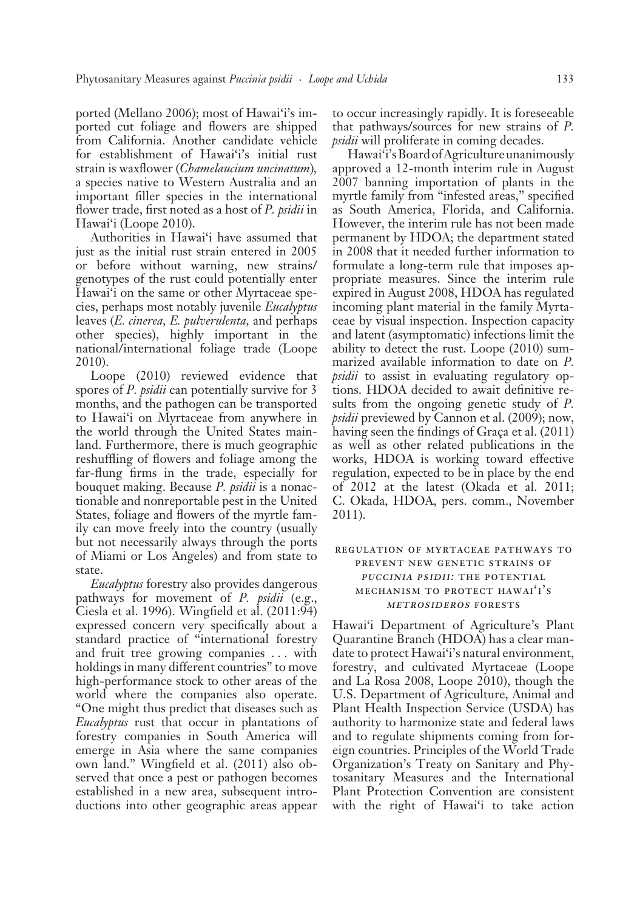ported (Mellano 2006); most of Hawai'i's imported cut foliage and flowers are shipped from California. Another candidate vehicle for establishment of Hawai'i's initial rust strain is waxflower (*Chamelaucium uncinatum*)*,* a species native to Western Australia and an important filler species in the international flower trade, first noted as a host of *P. psidii* in Hawai'i (Loope 2010).

Authorities in Hawai'i have assumed that just as the initial rust strain entered in 2005 or before without warning, new strains/ g enotypes of the rust could potentially enter Hawai'i on the same or other Myrtaceae species, perhaps most notably juvenile *Eucalyptus* leaves (*E. cinerea, E. pulverulenta,* and perhaps other species), highly important in the national/international foliage trade (Loope 2010).

Loope (2010) reviewed evidence that spores of *P. psidii* can potentially survive for 3 months, and the pathogen can be transported to Hawai'i on Myrtaceae from anywhere in the world through the United States mainland. Furthermore, there is much geographic reshuffling of flowers and foliage among the far-flung firms in the trade, especially for bouquet making. Because *P. psidii* is a nonactionable and nonreportable pest in the United States, foliage and flowers of the myrtle family can move freely into the country (usually but not necessarily always through the ports of Miami or Los Angeles) and from state to state.

*Eucalyptus* forestry also provides dangerous pathways for movement of *P. psidii* (e.g., Ciesla et al. 1996). Wingfield et al. (2011:94) expressed concern very specifically about a standard practice of "international forestry and fruit tree growing companies . . . with holdings in many different countries" to move high-performance stock to other areas of the world where the companies also operate. "One might thus predict that diseases such as *Eucalyptus* rust that occur in plantations of forestry companies in South America will emerge in Asia where the same companies own land." Wingfield et al. (2011) also observed that once a pest or pathogen becomes established in a new area, subsequent introductions into other geographic areas appear to occur increasingly rapidly. It is foreseeable that pathways/sources for new strains of *P. psidii* will proliferate in coming decades.

Hawai'i's Board of Agriculture unanimously approved a 12-month interim rule in August 2007 banning importation of plants in the myrtle family from "infested areas," specified as South America, Florida, and California. However, the interim rule has not been made permanent by HDOA; the department stated in 2008 that it needed further information to formulate a long-term rule that imposes appropriate measures. Since the interim rule expired in August 2008, HDOA has regulated incoming plant material in the family Myrtaceae by visual inspection. Inspection capacity and latent (asymptomatic) infections limit the ability to detect the rust. Loope (2010) summarized available information to date on *P. psidii* to assist in evaluating regulatory options. HDOA decided to await definitive results from the ongoing genetic study of *P. psidii* previewed by Cannon et al. (2009); now, having seen the findings of Graça et al. (2011) as well as other related publications in the works, HDOA is working toward effective regulation, expected to be in place by the end of 2012 at the latest (Okada et al. 2011; C. Okada, HDOA, pers. comm., November 2011).

#### regulation of myrtaceae pathways to prevent new genetic strains of puccinia psidii: the potential mechanism to protect hawai'i's metrosideros forests

Hawai'i Department of Agriculture's Plant Quarantine Branch (HDOA) has a clear mandate to protect Hawai'i's natural environment, forestry, and cultivated Myrtaceae (Loope and La Rosa 2008, Loope 2010), though the U.S. Department of Agriculture, Animal and Plant Health Inspection Service (USDA) has authority to harmonize state and federal laws and to regulate shipments coming from foreign countries. Principles of the World Trade Organization's Treaty on Sanitary and Phytosanitary Measures and the International Plant Protection Convention are consistent with the right of Hawai'i to take action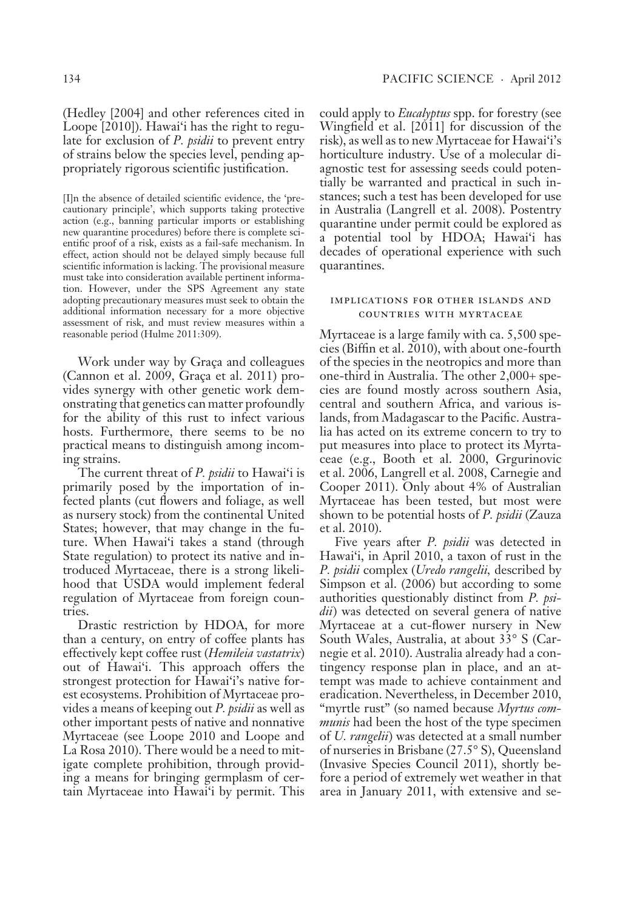[ I]n the absence of detailed scientific evidence, the 'precautionary principle', which supports taking protective action (e.g., banning particular imports or establishing new quarantine procedures) before there is complete scientific proof of a risk, exists as a fail-safe mechanism. In effect, action should not be delayed simply because full scientific information is lacking. The provisional measure must take into consideration available pertinent information. However, under the SPS Agreement any state adopting precautionary measures must seek to obtain the additional information necessary for a more objective assessment of risk, and must review measures within a reasonable period (Hulme 2011:309).

Work under way by Graça and colleagues (Cannon et al. 2009, Graça et al. 2011) provides synergy with other genetic work demonstrating that genetics can matter profoundly for the ability of this rust to infect various hosts. Furthermore, there seems to be no practical means to distinguish among incoming strains.

The current threat of *P. psidii* to Hawai'i is primarily posed by the importation of infected plants (cut flowers and foliage, as well as nursery stock) from the continental United States; however, that may change in the future. When Hawai'i takes a stand (through State regulation) to protect its native and introduced Myrtaceae, there is a strong likelihood that USDA would implement federal regulation of Myrtaceae from foreign countries.

Drastic restriction by HDOA, for more than a century, on entry of coffee plants has effectively kept coffee rust (*Hemileia vastatrix*) out of Hawai'i. This approach offers the strongest protection for Hawai'i's native forest ecosystems. Prohibition of Myrtaceae provides a means of keeping out *P. psidii* as well as other important pests of native and nonnative Myrtaceae (see Loope 2010 and Loope and La Rosa 2010). There would be a need to mitigate complete prohibition, through providing a means for bringing germplasm of certain Myrtaceae into Hawai'i by permit. This could apply to *Eucalyptus* spp. for forestry (see Wingfield et al. [2011] for discussion of the risk), as well as to new Myrtaceae for Hawai'i's horticulture industry. Use of a molecular diagnostic test for assessing seeds could potentially be warranted and practical in such instances; such a test has been developed for use in Australia (Langrell et al. 2008). Postentry quarantine under permit could be explored as a potential tool by HDOA; Hawai'i has decades of operational experience with such quarantines.

#### implications for other islands and countries with myrtaceae

Myrtaceae is a large family with ca. 5,500 species (Biffin et al. 2010), with about one-fourth of the species in the neotropics and more than one-third in Australia. The other 2,000+ species are found mostly across southern Asia, central and southern Africa, and various islands, from Madagascar to the Pacific. Australia has acted on its extreme concern to try to put measures into place to protect its Myrtaceae (e.g., Booth et al. 2000, Grgurinovic et al. 2006, Langrell et al. 2008, Carnegie and Cooper 2011). Only about 4% of Australian Myrtaceae has been tested, but most were shown to be potential hosts of *P. psidii* (Zauza et al. 2010).

Five years after *P. psidii* was detected in Hawai'i, in April 2010, a taxon of rust in the *P. psidii* complex (*Uredo rangelii,* described by Simpson et al. (2006) but according to some authorities questionably distinct from *P. psidii*) was detected on several genera of native Myrtaceae at a cut-flower nursery in New South Wales, Australia, at about 33° S (Carne gie et al. 2010). Australia already had a contingency response plan in place, and an attempt was made to achieve containment and eradication. Nevertheless, in December 2010, "myrtle rust" (so named because *Myrtus communis* had been the host of the type specimen of *U. rangelii* ) was detected at a small number of nurseries in Brisbane (27.5° S), Queensland (Invasive Species Council 2011), shortly before a period of extremely wet weather in that area in January 2011, with extensive and se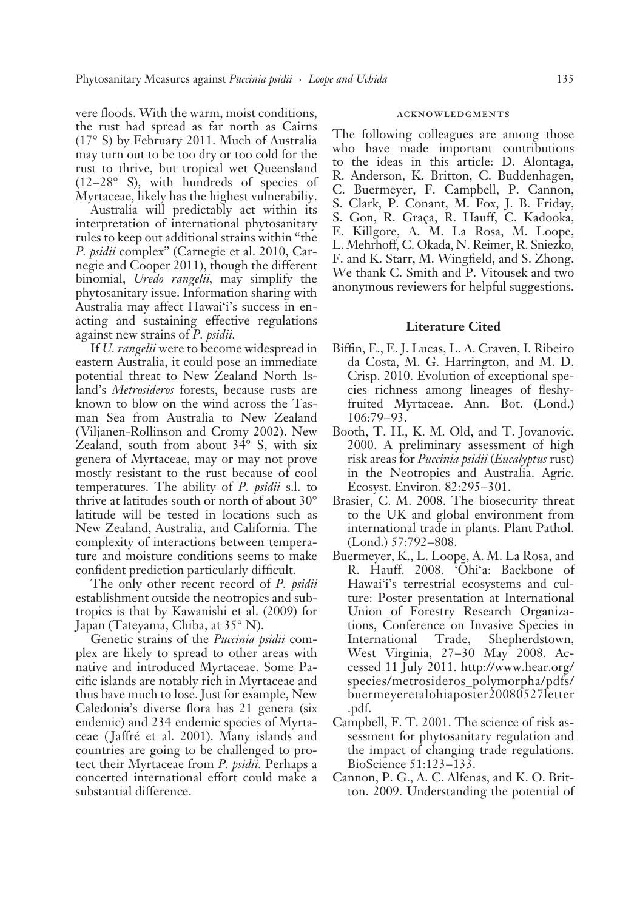vere floods. With the warm, moist conditions, the rust had spread as far north as Cairns (17° S) by February 2011. Much of Australia may turn out to be too dry or too cold for the rust to thrive, but tropical wet Queensland  $(12-28° S)$ , with hundreds of species of Myrtaceae, likely has the highest vulnerabiliy.

Australia will predictably act within its interpretation of international phytosanitary rules to keep out additional strains within "the *P. psidii* complex" (Carnegie et al. 2010, Carnegie and Cooper 2011), though the different binomial, *Uredo rangelii,* may simplify the phytosanitary issue. Information sharing with Australia may affect Hawai'i's success in enacting and sustaining effective regulations against new strains of *P. psidii.*

If *U. rangelii* were to become widespread in eastern Australia, it could pose an immediate potential threat to New Zealand North Island's *Metrosideros* forests, because rusts are known to blow on the wind across the Tasman Sea from Australia to New Zealand (Viljanen-Rollinson and Cromy 2002). New Zealand, south from about 34° S, with six genera of Myrtaceae, may or may not prove mostly resistant to the rust because of cool temperatures. The ability of *P. psidii* s.l. to thrive at latitudes south or north of about 30° latitude will be tested in locations such as New Zealand, Australia, and California. The complexity of interactions between temperature and moisture conditions seems to make confident prediction particularly difficult.

The only other recent record of *P. psidii* establishment outside the neotropics and subtropics is that by Kawanishi et al. (2009) for Japan (Tateyama, Chiba, at 35° N).

Genetic strains of the *Puccinia psidii* complex are likely to spread to other areas with native and introduced Myrtaceae. Some Pacific islands are notably rich in Myrtaceae and thus have much to lose. Just for example, New Caledonia's diverse flora has 21 genera (six endemic) and 234 endemic species of Myrtaceae ( Jaffré et al. 2001). Many islands and countries are going to be challenged to protect their Myrtaceae from *P. psidii.* Perhaps a concerted international effort could make a substantial difference.

#### acknowledgments

The following colleagues are among those who have made important contributions to the ideas in this article: D. Alontaga, R. Anderson, K. Britton, C. Buddenhagen, C. Buermeyer, F. Campbell, P. Cannon, S. Clark, P. Conant, M. Fox, J. B. Friday, S. Gon, R. Graça, R. Hauff, C. Kadooka, E. Killgore, A. M. La Rosa, M. Loope, L. Mehrhoff, C. Okada, N. Reimer, R. Sniezko, F. and K. Starr, M. Wingfield, and S. Zhong. We thank C. Smith and P. Vitousek and two anonymous reviewers for helpful suggestions.

#### **Literature Cited**

- Biffin, E., E. J. Lucas, L. A. Craven, I. Ribeiro da Costa, M. G. Harrington, and M. D. Crisp. 2010. Evolution of exceptional species richness among lineages of fleshyfruited Myrtaceae. Ann. Bot. (Lond.) 106:79-93.
- Booth, T. H., K. M. Old, and T. Jovanovic. 2000. A preliminary assessment of high risk areas for *Puccinia psidii* (*Eucalyptus* rust) in the Neotropics and Australia. Agric. Ecosyst. Environ. 82:295 – 301.
- Brasier, C. M. 2008. The biosecurity threat to the UK and global environment from international trade in plants. Plant Pathol. (Lond.) 57:792 – 808.
- Buermeyer, K., L. Loope, A. M. La Rosa, and R. Hauff. 2008. 'Öhi'a: Backbone of Hawai'i's terrestrial ecosystems and culture: Poster presentation at International Union of Forestry Research Organizations, Conference on Invasive Species in International Trade, Shepherdstown, West Virginia, 27-30 May 2008. Accessed 11 July 2011. http://www.hear.org/ species/metrosideros\_polymorpha/pdfs/ buermeyeretalohiaposter20080527letter .pdf.
- Campbell, F. T. 2001. The science of risk assessment for phytosanitary regulation and the impact of changing trade regulations. BioScience 51:123-133.
- Cannon, P. G., A. C. Alfenas, and K. O. Britton. 2009. Understanding the potential of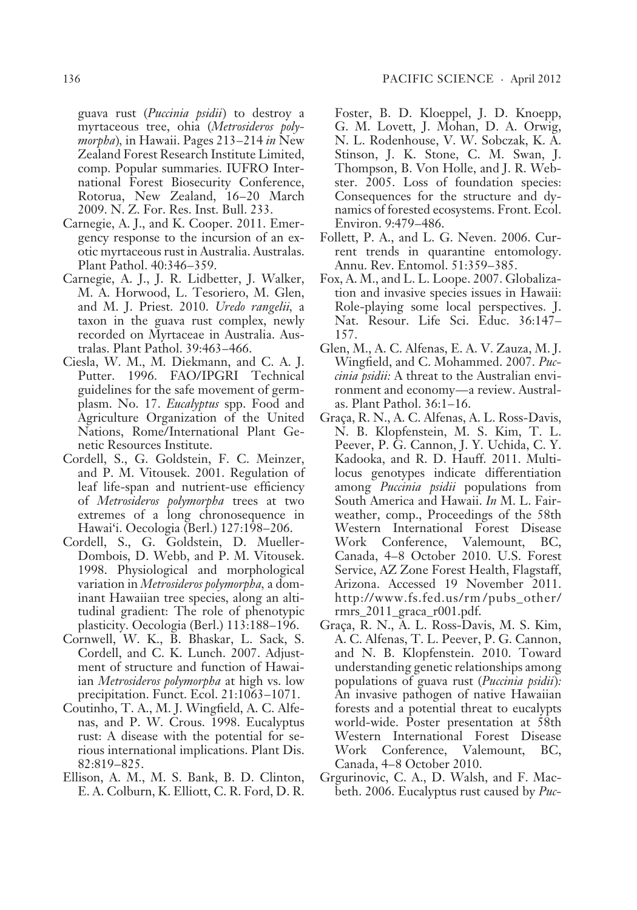guava rust (*Puccinia psidii* ) to destroy a myrtaceous tree, ohia (*Metrosideros polymorpha*)*,* in Hawaii. Pages 213 – 214 *in* New Zealand Forest Research Institute Limited, comp. Popular summaries. IUFRO International Forest Biosecurity Conference, Rotorua, New Zealand, 16-20 March 2009. N. Z. For. Res. Inst. Bull. 233.

- Carnegie, A. J., and K. Cooper. 2011. Emergency response to the incursion of an exotic myrtaceous rust in Australia. Australas. Plant Pathol. 40:346-359.
- Carnegie, A. J., J. R. Lidbetter, J. Walker, M. A. Horwood, L. Tesoriero, M. Glen, and M. J. Priest. 2010. *Uredo rangelii,* a taxon in the guava rust complex, newly recorded on Myrtaceae in Australia. Australas. Plant Pathol. 39:463 – 466.
- Ciesla, W. M., M. Diekmann, and C. A. J. Putter. 1996. FAO/IPGRI Technical guidelines for the safe movement of germplasm. No. 17. *Eucalyptus* spp. Food and Agriculture Organization of the United Nations, Rome/International Plant Genetic Resources Institute.
- Cordell, S., G. Goldstein, F. C. Meinzer, and P. M. Vitousek. 2001. Regulation of leaf life-span and nutrient-use efficiency of *Met rosideros polymorpha* trees at two extremes of a long chronosequence in Hawai'i. Oecologia (Berl.) 127:198-206.
- Cordell, S., G. Goldstein, D. Mueller-Dombois, D. Webb, and P. M. Vitousek. 1998. Physiological and morphological variation in *Metrosideros polymorpha,* a dominant Hawaiian tree species, along an altitudinal gradient: The role of phenotypic plasticity. Oecologia (Berl.) 113:188 – 196.
- Cornwell, W. K., B. Bhaskar, L. Sack, S. Cordell, and C. K. Lunch. 2007. Adjustment of structure and function of Hawaiian *Metrosideros polymorpha* at high vs. low precipitation. Funct. Ecol. 21:1063-1071.
- Coutinho, T. A., M. J. Wingfield, A. C. Alfenas, and P. W. Crous. 1998. Eucalyptus rust: A disease with the potential for serious international implications. Plant Dis. 82:819 – 825.
- Ellison, A. M., M. S. Bank, B. D. Clinton, E. A. Colburn, K. Elliott, C. R. Ford, D. R.

Foster, B. D. Kloeppel, J. D. Knoepp, G. M. Lovett, J. Mohan, D. A. Orwig, N. L. Rodenhouse, V. W. Sobczak, K. A. Stinson, J. K. Stone, C. M. Swan, J. Thompson, B. Von Holle, and J. R. Webster. 2005. Loss of foundation species: Consequences for the structure and dynamics of forested ecosystems. Front. Ecol. Environ. 9:479-486.

- Follett, P. A., and L. G. Neven. 2006. Current trends in quarantine entomology. Annu. Rev. Entomol. 51:359-385.
- Fox, A. M., and L. L. Loope. 2007. Globalization and invasive species issues in Hawaii: Role-playing some local perspectives. J. Nat. Resour. Life Sci. Educ. 36:147 – 157.
- Glen, M., A. C. Alfenas, E. A. V. Zauza, M. J. Wingfield, and C. Mohammed. 2007. *Puccinia psidii:* A threat to the Australian environment and economy—a review. Australas. Plant Pathol. 36:1 – 16.
- Graça, R. N., A. C. Alfenas, A. L. Ross-Davis, N. B. Klopfenstein, M. S. Kim, T. L. Peever, P. G. Cannon, J. Y. Uchida, C. Y. Kadooka, and R. D. Hauff. 2011. Multilocus genotypes indicate differentiation among *Puccinia psidii* populations from South America and Hawaii. *In* M. L. Fairweather, comp., Proceedings of the 58th Western International Forest Disease Work Conference, Valemount, BC, Canada, 4-8 October 2010. U.S. Forest Service, AZ Zone Forest Health, Flagstaff, Arizona. Accessed 19 November 2011. http://www.fs.fed.us/rm /pubs\_other/ rmrs\_2011\_graca\_r001.pdf.
- Graça, R. N., A. L. Ross-Davis, M. S. Kim, A. C. Alfenas, T. L. Peever, P. G. Cannon, and N. B. Klopfenstein. 2010. Toward understanding genetic relationships among populations of guava rust (*Puccinia psidii* )*:* An invasive pathogen of native Hawaiian forests and a potential threat to eucalypts world-wide. Poster presentation at 58th Western International Forest Disease Work Conference, Valemount, BC, Canada, 4-8 October 2010.
- Grgurinovic, C. A., D. Walsh, and F. Macbeth. 2006. Eucalyptus rust caused by *Puc-*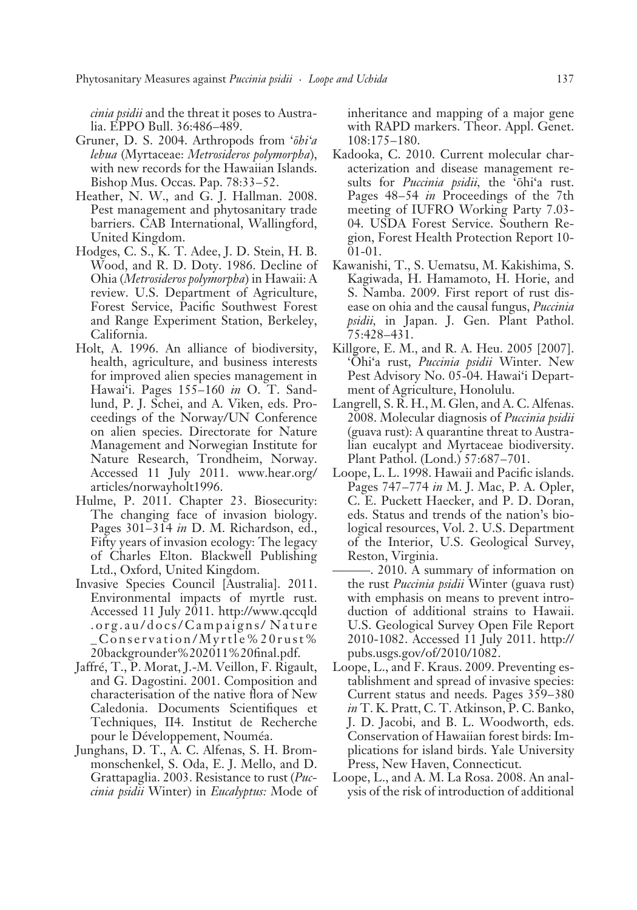*cinia psidii* and the threat it poses to Australia. EPPO Bull. 36:486–489.

- Gruner, D. S. 2004. Arthropods from '*öhi'a lehua* (Myrtaceae: *Metrosideros polymorpha*), with new records for the Hawaiian Islands. Bishop Mus. Occas. Pap. 78:33–52.
- Heather, N. W., and G. J. Hallman. 2008. Pest management and phytosanitary trade barriers. CAB International, Wallingford, United Kingdom.
- Hodges, C. S., K. T. Adee, J. D. Stein, H. B. Wood, and R. D. Doty. 1986. Decline of Ohia (*Metrosideros polymorpha*) in Hawaii: A review. U.S. Department of Agriculture, Forest Service, Pacific Southwest Forest and Range Experiment Station, Berkeley, California.
- Holt, A. 1996. An alliance of biodiversity, health, agriculture, and business interests for improved alien species management in Hawai'i. Pages 155 – 160 *in* O. T. Sandlund, P. J. Schei, and A. Viken, eds. Proceedings of the Norway/UN Conference on alien species. Directorate for Nature Management and Norwegian Institute for Nature Research, Trondheim, Norway. Accessed 11 July 2011. www.hear.org/ articles/norwayholt1996.
- Hulme, P. 2011. Chapter 23. Biosecurity: The changing face of invasion biology. Pages 301-314 *in* D. M. Richardson, ed., Fifty years of invasion ecology: The legacy of Charles Elton. Blackwell Publishing Ltd., Oxford, United Kingdom.
- Invasive Species Council [Australia]. 2011. Environmental impacts of myrtle rust. Accessed 11 July 2011. http://www.qccqld . o r g . a u / d o c s / C a m p a i g n s / N a t u r e Conservation/Myrtle%20rust% 20backgrounder%202011%20final.pdf.
- Jaffré, T., P. Morat, J.-M. Veillon, F. Rigault, and G. Dagostini. 2001. Composition and characterisation of the native flora of New Caledonia. Documents Scientifiques et Techniques, II4. Institut de Recherche pour le Développement, Nouméa.
- Junghans, D. T., A. C. Alfenas, S. H. Brommonschenkel, S. Oda, E. J. Mello, and D. Grattapaglia. 2003. Resistance to rust (*Puccinia psidii* Winter) in *Eucalyptus:* Mode of

inheritance and mapping of a major gene with RAPD markers. Theor. Appl. Genet. 108:175 – 180.

- Kadooka, C. 2010. Current molecular characterization and disease management results for *Puccinia psidii,* the 'öhi'a rust. Pages 48–54 *in* Proceedings of the 7th meeting of IUFRO Working Party 7.03- 04. USDA Forest Service. Southern Region, Forest Health Protection Report 10- 01-01.
- Kawanishi, T., S. Uematsu, M. Kakishima, S. Kagiwada, H. Hamamoto, H. Horie, and S. Namba. 2009. First report of rust disease on ohia and the causal fungus, *Puccinia psidii,* in Japan. J. Gen. Plant Pathol. 75:428 – 431.
- Killgore, E. M., and R. A. Heu. 2005 [2007]. 'Öhi'a rust, *Puccinia psidii* Winter. New Pest Advisory No. 05-04. Hawai'i Department of Agriculture, Honolulu.
- Langrell, S.  $\overline{R}$ . H., M. Glen, and A. C. Alfenas. 2008. Molecular diagnosis of *Puccinia psidii* (guava rust): A quarantine threat to Australian eucalypt and Myrtaceae biodiversity. Plant Pathol. (Lond.) 57:687 – 701.
- Loope, L. L. 1998. Hawaii and Pacific islands. Pages 747–774 *in* M. J. Mac, P. A. Opler, C. E. Puckett Haecker, and P. D. Doran, eds. Status and trends of the nation's biological resources, Vol. 2. U.S. Department of the Interior, U.S. Geological Survey, Reston, Virginia.
- ———. 2010. A summary of information on the rust *Puccinia psidii* Winter (guava rust) with emphasis on means to prevent introduction of additional strains to Hawaii. U.S. Geological Survey Open File Report 2010-1082. Accessed 11 July 2011. http:// pubs.usgs.gov/of/2010/1082.
- Loope, L., and F. Kraus. 2009. Preventing establishment and spread of invasive species: Current status and needs. Pages 359 – 380 *in* T. K. Pratt, C. T. Atkinson, P. C. Banko, J. D. Jacobi, and B. L. Woodworth, eds. Conservation of Hawaiian forest birds: Implications for island birds. Yale University Press, New Haven, Connecticut.
- Loope, L., and A. M. La Rosa. 2008. An analysis of the risk of introduction of additional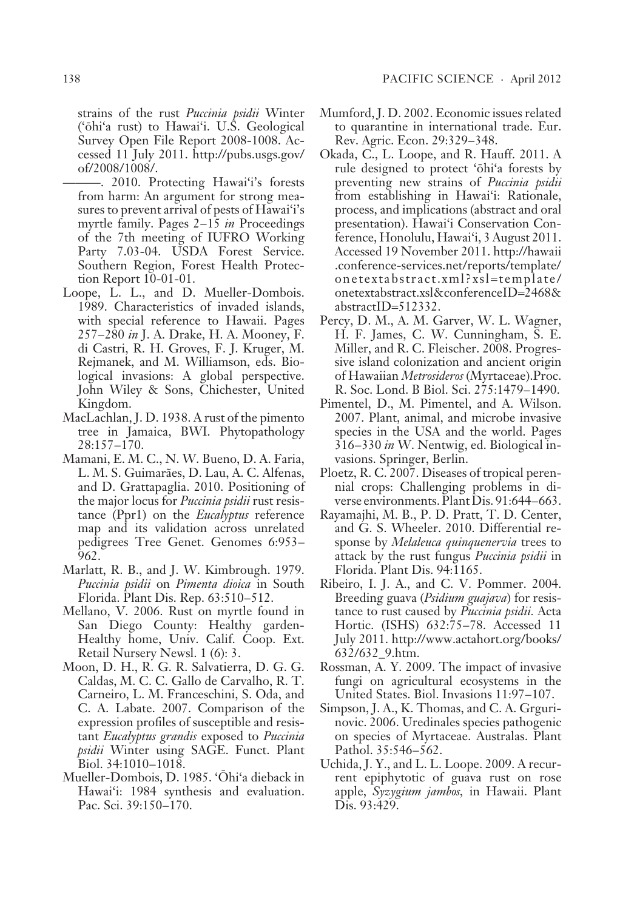strains of the rust *Puccinia psidii* Winter ('öhi'a rust) to Hawai'i. U.S. Geological Survey Open File Report 2008-1008. Accessed 11 July 2011. http://pubs.usgs.gov/ of/2008/1008/.

- ———. 2010. Protecting Hawai'i's forests from harm: An argument for strong measures to prevent arrival of pests of Hawai'i's myrtle family. Pages 2–15 *in* Proceedings of the 7th meeting of IUFRO Working Party 7.03-04. USDA Forest Service. Southern Region, Forest Health Protection Report 10-01-01.
- Loope, L. L., and D. Mueller-Dombois. 1989. Characteristics of invaded islands, with special reference to Hawaii. Pages 257 – 280 *in* J. A. Drake, H. A. Mooney, F. di Castri, R. H. Groves, F. J. Kruger, M. Rejmanek, and M. Williamson, eds. Biological invasions: A global perspective. John Wiley & Sons, Chichester, United Kingdom.
- MacLachlan, J. D. 1938. A rust of the pimento tree in Jamaica, BWI. Phytopathology 28:157 – 170.
- Mamani, E. M. C., N. W. Bueno, D. A. Faria, L. M. S. Guimarães, D. Lau, A. C. Alfenas, and D. Grattapaglia. 2010. Positioning of the major locus for *Puccinia psidii* rust resistance (Ppr1) on the *Eucalyptus* reference map and its validation across unrelated pedigrees Tree Genet. Genomes 6:953 – 962.
- Marlatt, R. B., and J. W. Kimbrough. 1979. *Puccinia psidii* on *Pimenta dioica* in South Florida. Plant Dis. Rep. 63:510-512.
- Mellano, V. 2006. Rust on myrtle found in San Diego County: Healthy garden-Healthy home, Univ. Calif. Coop. Ext. Retail Nursery Newsl. 1 (6): 3.
- Moon, D. H., R. G. R. Salvatierra, D. G. G. Caldas, M. C. C. Gallo de Carvalho, R. T. Carneiro, L. M. Franceschini, S. Oda, and C. A. Labate. 2007. Comparison of the expression profiles of susceptible and resistant *Eucalyptus grandis* exposed to *Puccinia psidii* Winter using SAGE. Funct. Plant Biol. 34:1010-1018.
- Mueller-Dombois, D. 1985. 'Öhi'a dieback in Hawai'i: 1984 synthesis and evaluation. Pac. Sci. 39:150-170.
- Mumford, J. D. 2002. Economic issues related to quarantine in international trade. Eur. Rev. Agric. Econ. 29:329-348.
- Okada, C., L. Loope, and R. Hauff. 2011. A rule designed to protect 'öhi'a forests by preventing new strains of *Puccinia psidii*  from establishing in Hawai'i: Rationale, process, and implications (abstract and oral presentation). Hawai'i Conservation Conference, Honolulu, Hawai'i, 3 August 2011. Accessed 19 November 2011. http://hawaii .conference-services.net/reports/template/ onetextabstract.xml?xsl=template/ onetextabstract.xsl&conferenceID=2468& abstractID=512332.
- Percy, D. M., A. M. Garver, W. L. Wagner, H. F. James, C. W. Cunningham, S. E. Miller, and R. C. Fleischer. 2008. Progressive island colonization and ancient origin of Hawaiian *Metrosideros* (Myrtaceae).Proc. R. Soc. Lond. B Biol. Sci. 275:1479 – 1490.
- Pimentel, D., M. Pimentel, and A. Wilson. 2007. Plant, animal, and microbe invasive species in the USA and the world. Pages 316 – 330 *in* W. Nentwig, ed. Biological invasions. Springer, Berlin.
- Ploetz, R. C. 2007. Diseases of tropical perennial crops: Challenging problems in diverse environments. Plant Dis. 91:644–663.
- Rayamajhi, M. B., P. D. Pratt, T. D. Center, and G. S. Wheeler. 2010. Differential response by *Melaleuca quinquenervia* trees to attack by the rust fungus *Puccinia psidii* in Florida. Plant Dis. 94:1165.
- Ribeiro, I. J. A., and C. V. Pommer. 2004. Breeding guava (*Psidium guajava*) for resistance to rust caused by *Puccinia psidii.* Acta Hortic. (ISHS) 632:75-78. Accessed 11 July 2011. http://www.actahort.org/books/ 632/632\_9.htm.
- Rossman, A. Y. 2009. The impact of invasive fungi on agricultural ecosystems in the United States. Biol. Invasions 11:97-107.
- Simpson, J. A., K. Thomas, and C. A. Grgurinovic. 2006. Uredinales species pathogenic on species of Myrtaceae. Australas. Plant Pathol. 35:546-562.
- Uchida, J. Y., and L. L. Loope. 2009. A recurrent epiphytotic of guava rust on rose a pple, *Syzygium jambos,* in Hawaii. Plant Dis. 93:429.